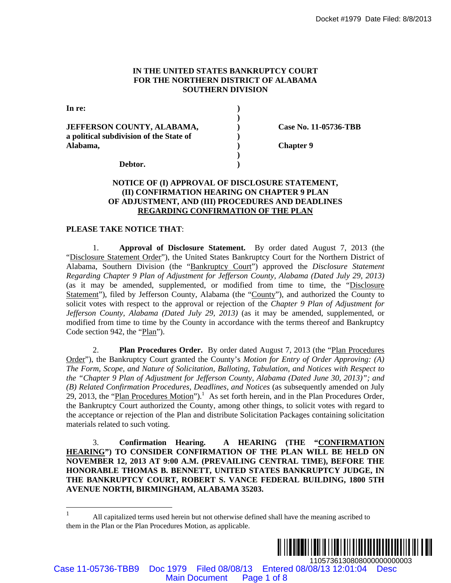### **IN THE UNITED STATES BANKRUPTCY COURT FOR THE NORTHERN DISTRICT OF ALABAMA SOUTHERN DIVISION**

| In re:                                  |                       |
|-----------------------------------------|-----------------------|
|                                         |                       |
| <b>JEFFERSON COUNTY, ALABAMA,</b>       | Case No. 11-05736-TBB |
| a political subdivision of the State of |                       |
| Alabama,                                | <b>Chapter 9</b>      |
|                                         |                       |
| Debtor.                                 |                       |

# **NOTICE OF (I) APPROVAL OF DISCLOSURE STATEMENT, (II) CONFIRMATION HEARING ON CHAPTER 9 PLAN OF ADJUSTMENT, AND (III) PROCEDURES AND DEADLINES REGARDING CONFIRMATION OF THE PLAN**

### **PLEASE TAKE NOTICE THAT**:

1. **Approval of Disclosure Statement.** By order dated August 7, 2013 (the "Disclosure Statement Order"), the United States Bankruptcy Court for the Northern District of Alabama, Southern Division (the "Bankruptcy Court") approved the *Disclosure Statement Regarding Chapter 9 Plan of Adjustment for Jefferson County, Alabama (Dated July 29, 2013)*  (as it may be amended, supplemented, or modified from time to time, the "Disclosure Statement"), filed by Jefferson County, Alabama (the "County"), and authorized the County to solicit votes with respect to the approval or rejection of the *Chapter 9 Plan of Adjustment for Jefferson County, Alabama (Dated July 29, 2013)* (as it may be amended, supplemented, or modified from time to time by the County in accordance with the terms thereof and Bankruptcy Code section 942, the "Plan"). Docket #1979 Date Filed: 8/2013<br>
MAINA SONTIERN DIVISION<br>
ABAMA,<br>
(See No. 11-05736-TBB<br>
(See No. 11-05736-TBB<br>
(See No. 11-05736-TBB<br>
(See No. 11-05736-TBB<br>
State of<br>
(ADMITON DIEARN DIVISION<br>
(CONFIRMATION OF THE TATEME

2. **Plan Procedures Order.** By order dated August 7, 2013 (the "Plan Procedures Order"), the Bankruptcy Court granted the County's *Motion for Entry of Order Approving: (A) The Form, Scope, and Nature of Solicitation, Balloting, Tabulation, and Notices with Respect to the "Chapter 9 Plan of Adjustment for Jefferson County, Alabama (Dated June 30, 2013)"; and (B) Related Confirmation Procedures, Deadlines, and Notices* (as subsequently amended on July 29, 2013, the "Plan Procedures Motion").<sup>1</sup> As set forth herein, and in the Plan Procedures Order, the Bankruptcy Court authorized the County, among other things, to solicit votes with regard to the acceptance or rejection of the Plan and distribute Solicitation Packages containing solicitation materials related to such voting.

3. **Confirmation Hearing. A HEARING (THE "CONFIRMATION HEARING") TO CONSIDER CONFIRMATION OF THE PLAN WILL BE HELD ON NOVEMBER 12, 2013 AT 9:00 A.M. (PREVAILING CENTRAL TIME), BEFORE THE HONORABLE THOMAS B. BENNETT, UNITED STATES BANKRUPTCY JUDGE, IN THE BANKRUPTCY COURT, ROBERT S. VANCE FEDERAL BUILDING, 1800 5TH AVENUE NORTH, BIRMINGHAM, ALABAMA 35203.**

 $\frac{1}{1}$  All capitalized terms used herein but not otherwise defined shall have the meaning ascribed to them in the Plan or the Plan Procedures Motion, as applicable.



Case 11-05736-TBB9 Doc 1979 Filed 08/08/13 Entered 08/08/13 12:01:04 Desc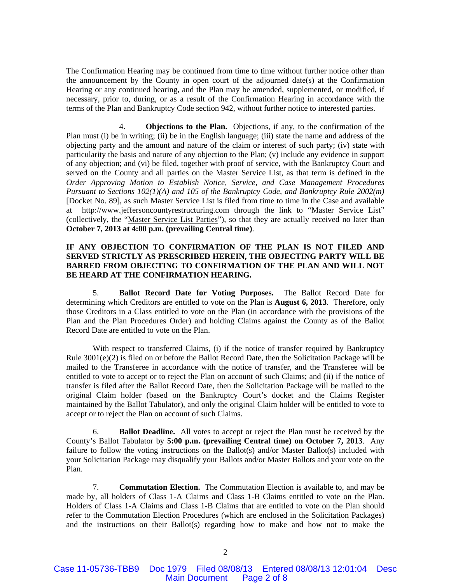The Confirmation Hearing may be continued from time to time without further notice other than the announcement by the County in open court of the adjourned date(s) at the Confirmation Hearing or any continued hearing, and the Plan may be amended, supplemented, or modified, if necessary, prior to, during, or as a result of the Confirmation Hearing in accordance with the terms of the Plan and Bankruptcy Code section 942, without further notice to interested parties.

4. **Objections to the Plan.** Objections, if any, to the confirmation of the Plan must (i) be in writing; (ii) be in the English language; (iii) state the name and address of the objecting party and the amount and nature of the claim or interest of such party; (iv) state with particularity the basis and nature of any objection to the Plan; (v) include any evidence in support of any objection; and (vi) be filed, together with proof of service, with the Bankruptcy Court and served on the County and all parties on the Master Service List, as that term is defined in the *Order Approving Motion to Establish Notice, Service, and Case Management Procedures Pursuant to Sections 102(1)(A) and 105 of the Bankruptcy Code, and Bankruptcy Rule 2002(m)* [Docket No. 89], as such Master Service List is filed from time to time in the Case and available at http://www.jeffersoncountyrestructuring.com through the link to "Master Service List" (collectively, the "Master Service List Parties"), so that they are actually received no later than **October 7, 2013 at 4:00 p.m. (prevailing Central time)**.

# **IF ANY OBJECTION TO CONFIRMATION OF THE PLAN IS NOT FILED AND SERVED STRICTLY AS PRESCRIBED HEREIN, THE OBJECTING PARTY WILL BE BARRED FROM OBJECTING TO CONFIRMATION OF THE PLAN AND WILL NOT BE HEARD AT THE CONFIRMATION HEARING.**

5. **Ballot Record Date for Voting Purposes.** The Ballot Record Date for determining which Creditors are entitled to vote on the Plan is **August 6, 2013**. Therefore, only those Creditors in a Class entitled to vote on the Plan (in accordance with the provisions of the Plan and the Plan Procedures Order) and holding Claims against the County as of the Ballot Record Date are entitled to vote on the Plan.

 With respect to transferred Claims, (i) if the notice of transfer required by Bankruptcy Rule 3001(e)(2) is filed on or before the Ballot Record Date, then the Solicitation Package will be mailed to the Transferee in accordance with the notice of transfer, and the Transferee will be entitled to vote to accept or to reject the Plan on account of such Claims; and (ii) if the notice of transfer is filed after the Ballot Record Date, then the Solicitation Package will be mailed to the original Claim holder (based on the Bankruptcy Court's docket and the Claims Register maintained by the Ballot Tabulator), and only the original Claim holder will be entitled to vote to accept or to reject the Plan on account of such Claims.

6. **Ballot Deadline.** All votes to accept or reject the Plan must be received by the County's Ballot Tabulator by **5:00 p.m. (prevailing Central time) on October 7, 2013**. Any failure to follow the voting instructions on the Ballot(s) and/or Master Ballot(s) included with your Solicitation Package may disqualify your Ballots and/or Master Ballots and your vote on the Plan.

7. **Commutation Election.** The Commutation Election is available to, and may be made by, all holders of Class 1-A Claims and Class 1-B Claims entitled to vote on the Plan. Holders of Class 1-A Claims and Class 1-B Claims that are entitled to vote on the Plan should refer to the Commutation Election Procedures (which are enclosed in the Solicitation Packages) and the instructions on their Ballot(s) regarding how to make and how not to make the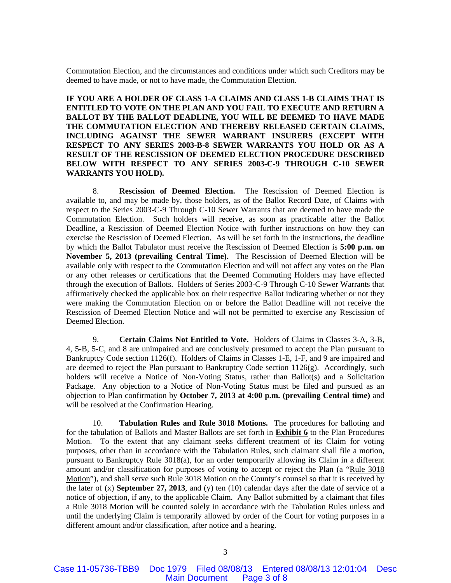Commutation Election, and the circumstances and conditions under which such Creditors may be deemed to have made, or not to have made, the Commutation Election.

**IF YOU ARE A HOLDER OF CLASS 1-A CLAIMS AND CLASS 1-B CLAIMS THAT IS ENTITLED TO VOTE ON THE PLAN AND YOU FAIL TO EXECUTE AND RETURN A BALLOT BY THE BALLOT DEADLINE, YOU WILL BE DEEMED TO HAVE MADE THE COMMUTATION ELECTION AND THEREBY RELEASED CERTAIN CLAIMS, INCLUDING AGAINST THE SEWER WARRANT INSURERS (EXCEPT WITH RESPECT TO ANY SERIES 2003-B-8 SEWER WARRANTS YOU HOLD OR AS A RESULT OF THE RESCISSION OF DEEMED ELECTION PROCEDURE DESCRIBED BELOW WITH RESPECT TO ANY SERIES 2003-C-9 THROUGH C-10 SEWER WARRANTS YOU HOLD).**

8. **Rescission of Deemed Election.** The Rescission of Deemed Election is available to, and may be made by, those holders, as of the Ballot Record Date, of Claims with respect to the Series 2003-C-9 Through C-10 Sewer Warrants that are deemed to have made the Commutation Election. Such holders will receive, as soon as practicable after the Ballot Deadline, a Rescission of Deemed Election Notice with further instructions on how they can exercise the Rescission of Deemed Election. As will be set forth in the instructions, the deadline by which the Ballot Tabulator must receive the Rescission of Deemed Election is **5:00 p.m. on November 5, 2013 (prevailing Central Time).** The Rescission of Deemed Election will be available only with respect to the Commutation Election and will not affect any votes on the Plan or any other releases or certifications that the Deemed Commuting Holders may have effected through the execution of Ballots. Holders of Series 2003-C-9 Through C-10 Sewer Warrants that affirmatively checked the applicable box on their respective Ballot indicating whether or not they were making the Commutation Election on or before the Ballot Deadline will not receive the Rescission of Deemed Election Notice and will not be permitted to exercise any Rescission of Deemed Election.

9. **Certain Claims Not Entitled to Vote.** Holders of Claims in Classes 3-A, 3-B, 4, 5-B, 5-C, and 8 are unimpaired and are conclusively presumed to accept the Plan pursuant to Bankruptcy Code section 1126(f). Holders of Claims in Classes 1-E, 1-F, and 9 are impaired and are deemed to reject the Plan pursuant to Bankruptcy Code section 1126(g). Accordingly, such holders will receive a Notice of Non-Voting Status, rather than Ballot(s) and a Solicitation Package. Any objection to a Notice of Non-Voting Status must be filed and pursued as an objection to Plan confirmation by **October 7, 2013 at 4:00 p.m. (prevailing Central time)** and will be resolved at the Confirmation Hearing.

10. **Tabulation Rules and Rule 3018 Motions.** The procedures for balloting and for the tabulation of Ballots and Master Ballots are set forth in **Exhibit 6** to the Plan Procedures Motion. To the extent that any claimant seeks different treatment of its Claim for voting purposes, other than in accordance with the Tabulation Rules, such claimant shall file a motion, pursuant to Bankruptcy Rule 3018(a), for an order temporarily allowing its Claim in a different amount and/or classification for purposes of voting to accept or reject the Plan (a "Rule 3018 Motion"), and shall serve such Rule 3018 Motion on the County's counsel so that it is received by the later of (x) **September 27, 2013**, and (y) ten (10) calendar days after the date of service of a notice of objection, if any, to the applicable Claim. Any Ballot submitted by a claimant that files a Rule 3018 Motion will be counted solely in accordance with the Tabulation Rules unless and until the underlying Claim is temporarily allowed by order of the Court for voting purposes in a different amount and/or classification, after notice and a hearing.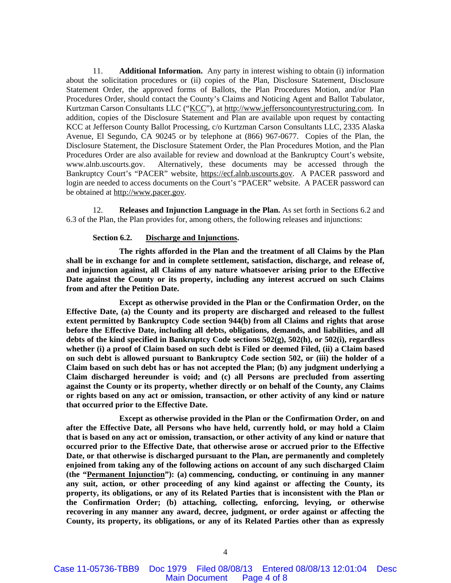11. **Additional Information.** Any party in interest wishing to obtain (i) information about the solicitation procedures or (ii) copies of the Plan, Disclosure Statement, Disclosure Statement Order, the approved forms of Ballots, the Plan Procedures Motion, and/or Plan Procedures Order, should contact the County's Claims and Noticing Agent and Ballot Tabulator, Kurtzman Carson Consultants LLC ("KCC"), at http://www.jeffersoncountyrestructuring.com. In addition, copies of the Disclosure Statement and Plan are available upon request by contacting KCC at Jefferson County Ballot Processing, c/o Kurtzman Carson Consultants LLC, 2335 Alaska Avenue, El Segundo, CA 90245 or by telephone at (866) 967-0677. Copies of the Plan, the Disclosure Statement, the Disclosure Statement Order, the Plan Procedures Motion, and the Plan Procedures Order are also available for review and download at the Bankruptcy Court's website, www.alnb.uscourts.gov. Alternatively, these documents may be accessed through the Bankruptcy Court's "PACER" website, https://ecf.alnb.uscourts.gov. A PACER password and login are needed to access documents on the Court's "PACER" website. A PACER password can be obtained at http://www.pacer.gov.

12. **Releases and Injunction Language in the Plan.** As set forth in Sections 6.2 and 6.3 of the Plan, the Plan provides for, among others, the following releases and injunctions:

#### **Section 6.2. Discharge and Injunctions.**

**The rights afforded in the Plan and the treatment of all Claims by the Plan shall be in exchange for and in complete settlement, satisfaction, discharge, and release of, and injunction against, all Claims of any nature whatsoever arising prior to the Effective Date against the County or its property, including any interest accrued on such Claims from and after the Petition Date.** 

**Except as otherwise provided in the Plan or the Confirmation Order, on the Effective Date, (a) the County and its property are discharged and released to the fullest extent permitted by Bankruptcy Code section 944(b) from all Claims and rights that arose before the Effective Date, including all debts, obligations, demands, and liabilities, and all debts of the kind specified in Bankruptcy Code sections 502(g), 502(h), or 502(i), regardless whether (i) a proof of Claim based on such debt is Filed or deemed Filed, (ii) a Claim based on such debt is allowed pursuant to Bankruptcy Code section 502, or (iii) the holder of a Claim based on such debt has or has not accepted the Plan; (b) any judgment underlying a Claim discharged hereunder is void; and (c) all Persons are precluded from asserting against the County or its property, whether directly or on behalf of the County, any Claims or rights based on any act or omission, transaction, or other activity of any kind or nature that occurred prior to the Effective Date.** 

**Except as otherwise provided in the Plan or the Confirmation Order, on and after the Effective Date, all Persons who have held, currently hold, or may hold a Claim that is based on any act or omission, transaction, or other activity of any kind or nature that occurred prior to the Effective Date, that otherwise arose or accrued prior to the Effective Date, or that otherwise is discharged pursuant to the Plan, are permanently and completely enjoined from taking any of the following actions on account of any such discharged Claim (the "Permanent Injunction"): (a) commencing, conducting, or continuing in any manner any suit, action, or other proceeding of any kind against or affecting the County, its property, its obligations, or any of its Related Parties that is inconsistent with the Plan or the Confirmation Order; (b) attaching, collecting, enforcing, levying, or otherwise recovering in any manner any award, decree, judgment, or order against or affecting the County, its property, its obligations, or any of its Related Parties other than as expressly**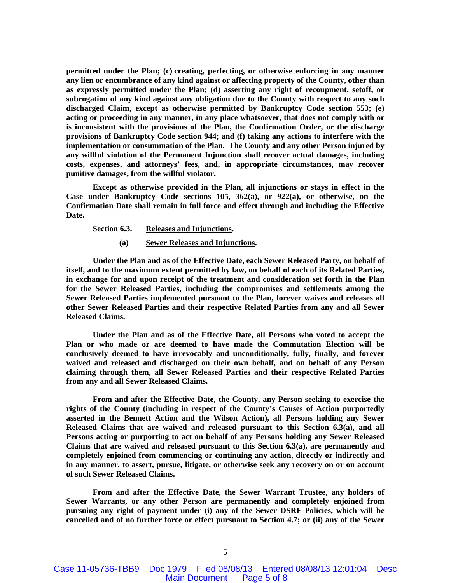**permitted under the Plan; (c) creating, perfecting, or otherwise enforcing in any manner any lien or encumbrance of any kind against or affecting property of the County, other than as expressly permitted under the Plan; (d) asserting any right of recoupment, setoff, or subrogation of any kind against any obligation due to the County with respect to any such discharged Claim, except as otherwise permitted by Bankruptcy Code section 553; (e) acting or proceeding in any manner, in any place whatsoever, that does not comply with or is inconsistent with the provisions of the Plan, the Confirmation Order, or the discharge provisions of Bankruptcy Code section 944; and (f) taking any actions to interfere with the implementation or consummation of the Plan. The County and any other Person injured by any willful violation of the Permanent Injunction shall recover actual damages, including costs, expenses, and attorneys' fees, and, in appropriate circumstances, may recover punitive damages, from the willful violator.** 

**Except as otherwise provided in the Plan, all injunctions or stays in effect in the Case under Bankruptcy Code sections 105, 362(a), or 922(a), or otherwise, on the Confirmation Date shall remain in full force and effect through and including the Effective Date.** 

# **Section 6.3. Releases and Injunctions.**

**(a) Sewer Releases and Injunctions.**

**Under the Plan and as of the Effective Date, each Sewer Released Party, on behalf of itself, and to the maximum extent permitted by law, on behalf of each of its Related Parties, in exchange for and upon receipt of the treatment and consideration set forth in the Plan for the Sewer Released Parties, including the compromises and settlements among the Sewer Released Parties implemented pursuant to the Plan, forever waives and releases all other Sewer Released Parties and their respective Related Parties from any and all Sewer Released Claims.** 

**Under the Plan and as of the Effective Date, all Persons who voted to accept the Plan or who made or are deemed to have made the Commutation Election will be conclusively deemed to have irrevocably and unconditionally, fully, finally, and forever waived and released and discharged on their own behalf, and on behalf of any Person claiming through them, all Sewer Released Parties and their respective Related Parties from any and all Sewer Released Claims.** 

**From and after the Effective Date, the County, any Person seeking to exercise the rights of the County (including in respect of the County's Causes of Action purportedly asserted in the Bennett Action and the Wilson Action), all Persons holding any Sewer Released Claims that are waived and released pursuant to this Section 6.3(a), and all Persons acting or purporting to act on behalf of any Persons holding any Sewer Released Claims that are waived and released pursuant to this Section 6.3(a), are permanently and completely enjoined from commencing or continuing any action, directly or indirectly and in any manner, to assert, pursue, litigate, or otherwise seek any recovery on or on account of such Sewer Released Claims.** 

**From and after the Effective Date, the Sewer Warrant Trustee, any holders of Sewer Warrants, or any other Person are permanently and completely enjoined from pursuing any right of payment under (i) any of the Sewer DSRF Policies, which will be cancelled and of no further force or effect pursuant to Section 4.7; or (ii) any of the Sewer**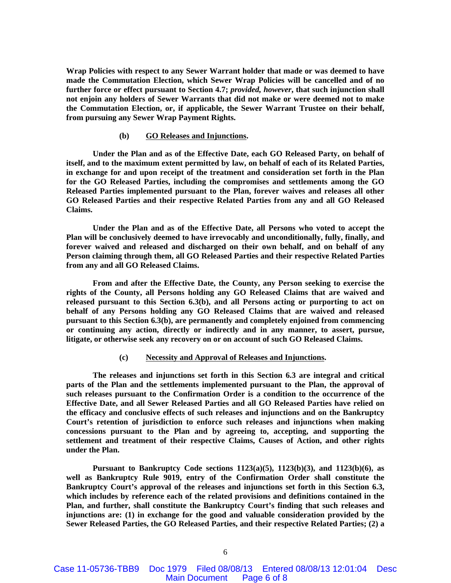**Wrap Policies with respect to any Sewer Warrant holder that made or was deemed to have made the Commutation Election, which Sewer Wrap Policies will be cancelled and of no further force or effect pursuant to Section 4.7;** *provided, however***, that such injunction shall not enjoin any holders of Sewer Warrants that did not make or were deemed not to make the Commutation Election, or, if applicable, the Sewer Warrant Trustee on their behalf, from pursuing any Sewer Wrap Payment Rights.** 

#### **(b) GO Releases and Injunctions.**

**Under the Plan and as of the Effective Date, each GO Released Party, on behalf of itself, and to the maximum extent permitted by law, on behalf of each of its Related Parties, in exchange for and upon receipt of the treatment and consideration set forth in the Plan for the GO Released Parties, including the compromises and settlements among the GO Released Parties implemented pursuant to the Plan, forever waives and releases all other GO Released Parties and their respective Related Parties from any and all GO Released Claims.** 

**Under the Plan and as of the Effective Date, all Persons who voted to accept the Plan will be conclusively deemed to have irrevocably and unconditionally, fully, finally, and forever waived and released and discharged on their own behalf, and on behalf of any Person claiming through them, all GO Released Parties and their respective Related Parties from any and all GO Released Claims.** 

**From and after the Effective Date, the County, any Person seeking to exercise the rights of the County, all Persons holding any GO Released Claims that are waived and released pursuant to this Section 6.3(b), and all Persons acting or purporting to act on behalf of any Persons holding any GO Released Claims that are waived and released pursuant to this Section 6.3(b), are permanently and completely enjoined from commencing or continuing any action, directly or indirectly and in any manner, to assert, pursue, litigate, or otherwise seek any recovery on or on account of such GO Released Claims.** 

#### **(c) Necessity and Approval of Releases and Injunctions.**

**The releases and injunctions set forth in this Section 6.3 are integral and critical parts of the Plan and the settlements implemented pursuant to the Plan, the approval of such releases pursuant to the Confirmation Order is a condition to the occurrence of the Effective Date, and all Sewer Released Parties and all GO Released Parties have relied on the efficacy and conclusive effects of such releases and injunctions and on the Bankruptcy Court's retention of jurisdiction to enforce such releases and injunctions when making concessions pursuant to the Plan and by agreeing to, accepting, and supporting the settlement and treatment of their respective Claims, Causes of Action, and other rights under the Plan.** 

**Pursuant to Bankruptcy Code sections 1123(a)(5), 1123(b)(3), and 1123(b)(6), as well as Bankruptcy Rule 9019, entry of the Confirmation Order shall constitute the Bankruptcy Court's approval of the releases and injunctions set forth in this Section 6.3, which includes by reference each of the related provisions and definitions contained in the Plan, and further, shall constitute the Bankruptcy Court's finding that such releases and injunctions are: (1) in exchange for the good and valuable consideration provided by the Sewer Released Parties, the GO Released Parties, and their respective Related Parties; (2) a**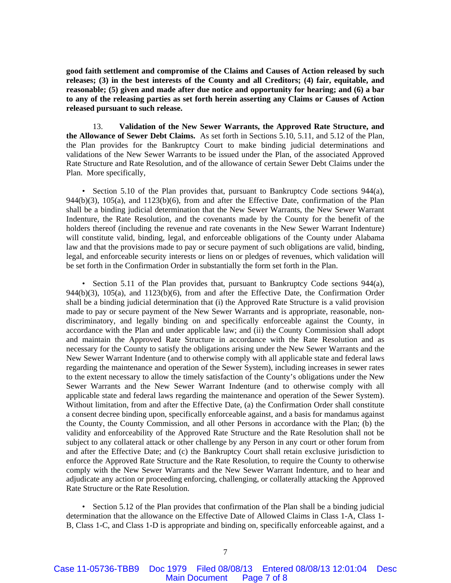**good faith settlement and compromise of the Claims and Causes of Action released by such releases; (3) in the best interests of the County and all Creditors; (4) fair, equitable, and reasonable; (5) given and made after due notice and opportunity for hearing; and (6) a bar to any of the releasing parties as set forth herein asserting any Claims or Causes of Action released pursuant to such release.** 

13. **Validation of the New Sewer Warrants, the Approved Rate Structure, and the Allowance of Sewer Debt Claims.** As set forth in Sections 5.10, 5.11, and 5.12 of the Plan, the Plan provides for the Bankruptcy Court to make binding judicial determinations and validations of the New Sewer Warrants to be issued under the Plan, of the associated Approved Rate Structure and Rate Resolution, and of the allowance of certain Sewer Debt Claims under the Plan. More specifically,

• Section 5.10 of the Plan provides that, pursuant to Bankruptcy Code sections 944(a), 944(b)(3), 105(a), and 1123(b)(6), from and after the Effective Date, confirmation of the Plan shall be a binding judicial determination that the New Sewer Warrants, the New Sewer Warrant Indenture, the Rate Resolution, and the covenants made by the County for the benefit of the holders thereof (including the revenue and rate covenants in the New Sewer Warrant Indenture) will constitute valid, binding, legal, and enforceable obligations of the County under Alabama law and that the provisions made to pay or secure payment of such obligations are valid, binding, legal, and enforceable security interests or liens on or pledges of revenues, which validation will be set forth in the Confirmation Order in substantially the form set forth in the Plan.

Section 5.11 of the Plan provides that, pursuant to Bankruptcy Code sections  $944(a)$ , 944(b)(3), 105(a), and 1123(b)(6), from and after the Effective Date, the Confirmation Order shall be a binding judicial determination that (i) the Approved Rate Structure is a valid provision made to pay or secure payment of the New Sewer Warrants and is appropriate, reasonable, nondiscriminatory, and legally binding on and specifically enforceable against the County, in accordance with the Plan and under applicable law; and (ii) the County Commission shall adopt and maintain the Approved Rate Structure in accordance with the Rate Resolution and as necessary for the County to satisfy the obligations arising under the New Sewer Warrants and the New Sewer Warrant Indenture (and to otherwise comply with all applicable state and federal laws regarding the maintenance and operation of the Sewer System), including increases in sewer rates to the extent necessary to allow the timely satisfaction of the County's obligations under the New Sewer Warrants and the New Sewer Warrant Indenture (and to otherwise comply with all applicable state and federal laws regarding the maintenance and operation of the Sewer System). Without limitation, from and after the Effective Date, (a) the Confirmation Order shall constitute a consent decree binding upon, specifically enforceable against, and a basis for mandamus against the County, the County Commission, and all other Persons in accordance with the Plan; (b) the validity and enforceability of the Approved Rate Structure and the Rate Resolution shall not be subject to any collateral attack or other challenge by any Person in any court or other forum from and after the Effective Date; and (c) the Bankruptcy Court shall retain exclusive jurisdiction to enforce the Approved Rate Structure and the Rate Resolution, to require the County to otherwise comply with the New Sewer Warrants and the New Sewer Warrant Indenture, and to hear and adjudicate any action or proceeding enforcing, challenging, or collaterally attacking the Approved Rate Structure or the Rate Resolution.

• Section 5.12 of the Plan provides that confirmation of the Plan shall be a binding judicial determination that the allowance on the Effective Date of Allowed Claims in Class 1-A, Class 1- B, Class 1-C, and Class 1-D is appropriate and binding on, specifically enforceable against, and a